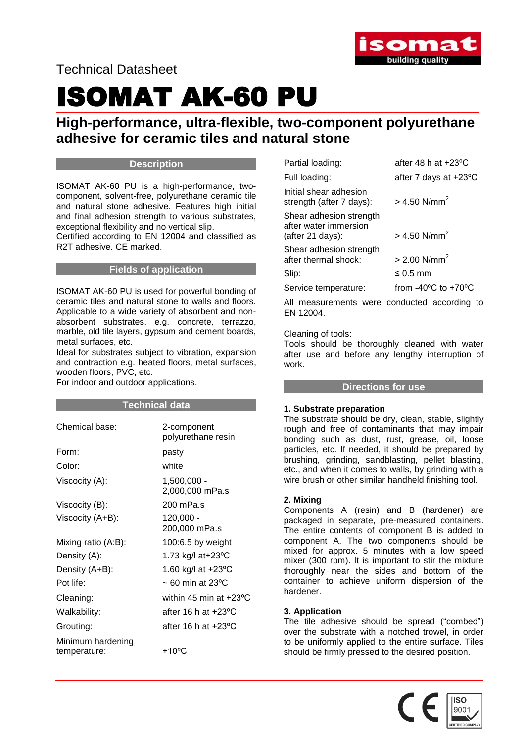

Technical Datasheet

## ISOMAT AK-60 PU

## **High-performance, ultra-flexible, two-component polyurethane adhesive for ceramic tiles and natural stone**

#### **Description**

ISOMAT AK-60 PU is a high-performance, twocomponent, solvent-free, polyurethane ceramic tile and natural stone adhesive. Features high initial and final adhesion strength to various substrates, exceptional flexibility and no vertical slip.

Certified according to EN 12004 and classified as R2T adhesive. CE marked.

#### **Fields of application**

ISOMAT AK-60 PU is used for powerful bonding of ceramic tiles and natural stone to walls and floors. Applicable to a wide variety of absorbent and nonabsorbent substrates, e.g. concrete, terrazzo, marble, old tile layers, gypsum and cement boards, metal surfaces, etc.

Ideal for substrates subject to vibration, expansion and contraction e.g. heated floors, metal surfaces, wooden floors, PVC, etc.

For indoor and outdoor applications.

#### **Technical data**

| 2-component<br>polyurethane resin |
|-----------------------------------|
| pasty                             |
| white                             |
| $1,500,000 -$<br>2,000,000 mPa.s  |
| 200 mPa.s                         |
| $120,000 -$<br>200,000 mPa.s      |
| 100:6.5 by weight                 |
| 1.73 kg/l at+23°C                 |
| 1.60 kg/l at +23°C                |
| $\sim$ 60 min at 23°C             |
| within 45 min at $+23$ °C         |
| after 16 h at $+23$ °C            |
| after 16 h at $+23$ °C            |
| +10 $\rm ^{o}C$                   |
|                                   |

| Partial loading:                                                     | after 48 h at +23°C                     |
|----------------------------------------------------------------------|-----------------------------------------|
| Full loading:                                                        | after 7 days at +23°C                   |
| Initial shear adhesion<br>strength (after 7 days):                   | $> 4.50$ N/mm <sup>2</sup>              |
| Shear adhesion strength<br>after water immersion<br>(after 21 days): | $> 4.50$ N/mm <sup>2</sup>              |
| Shear adhesion strength<br>after thermal shock:                      | $> 2.00$ N/mm <sup>2</sup>              |
| Slip:                                                                | $\leq 0.5$ mm                           |
| Service temperature:                                                 | from $-40^{\circ}$ C to $+70^{\circ}$ C |
|                                                                      |                                         |

All measurements were conducted according to EN 12004.

#### Cleaning of tools:

Tools should be thoroughly cleaned with water after use and before any lengthy interruption of work.

#### **Directions for use**

#### **1. Substrate preparation**

The substrate should be dry, clean, stable, slightly rough and free of contaminants that may impair bonding such as dust, rust, grease, oil, loose particles, etc. If needed, it should be prepared by brushing, grinding, sandblasting, pellet blasting, etc., and when it comes to walls, by grinding with a wire brush or other similar handheld finishing tool.

#### **2. Mixing**

Components A (resin) and B (hardener) are packaged in separate, pre-measured containers. The entire contents of component B is added to component A. The two components should be mixed for approx. 5 minutes with a low speed mixer (300 rpm). It is important to stir the mixture thoroughly near the sides and bottom of the container to achieve uniform dispersion of the hardener.

#### **3. Application**

The tile adhesive should be spread ("combed") over the substrate with a notched trowel, in order to be uniformly applied to the entire surface. Tiles should be firmly pressed to the desired position.